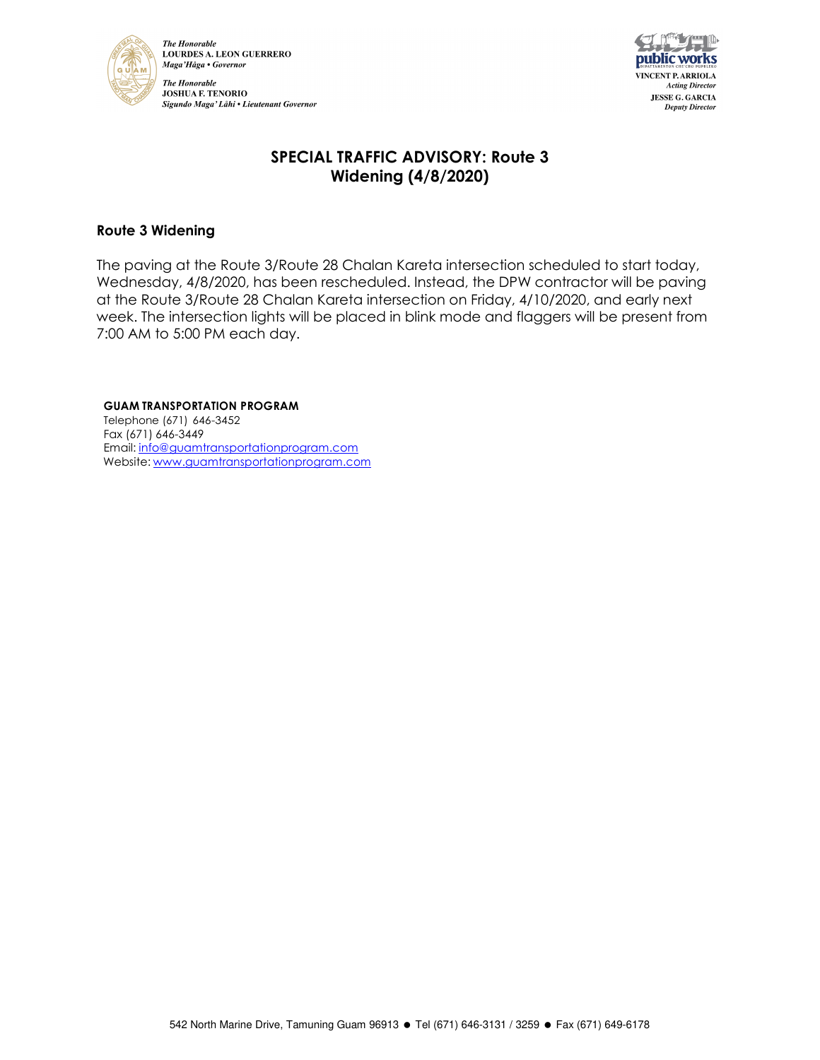

**The Honorable LOURDES A. LEON GUERRERO** Maga'Håga • Governor **The Honorable JOSHUA F. TENORIO** Sigundo Maga' Låhi • Lieutenant Governor



# **SPECIAL TRAFFIC ADVISORY: Route 3 Widening (4/8/2020)**

### **Route 3 Widening**

The paving at the Route 3/Route 28 Chalan Kareta intersection scheduled to start today, Wednesday, 4/8/2020, has been rescheduled. Instead, the DPW contractor will be paving at the Route 3/Route 28 Chalan Kareta intersection on Friday, 4/10/2020, and early next week. The intersection lights will be placed in blink mode and flaggers will be present from 7:00 AM to 5:00 PM each day.

#### **GUAM TRANSPORTATION PROGRAM**

Telephone (671) 646-3452 Fax (671) 646-3449 Email: info@guamtransportationprogram.com Website: www.guamtransportationprogram.com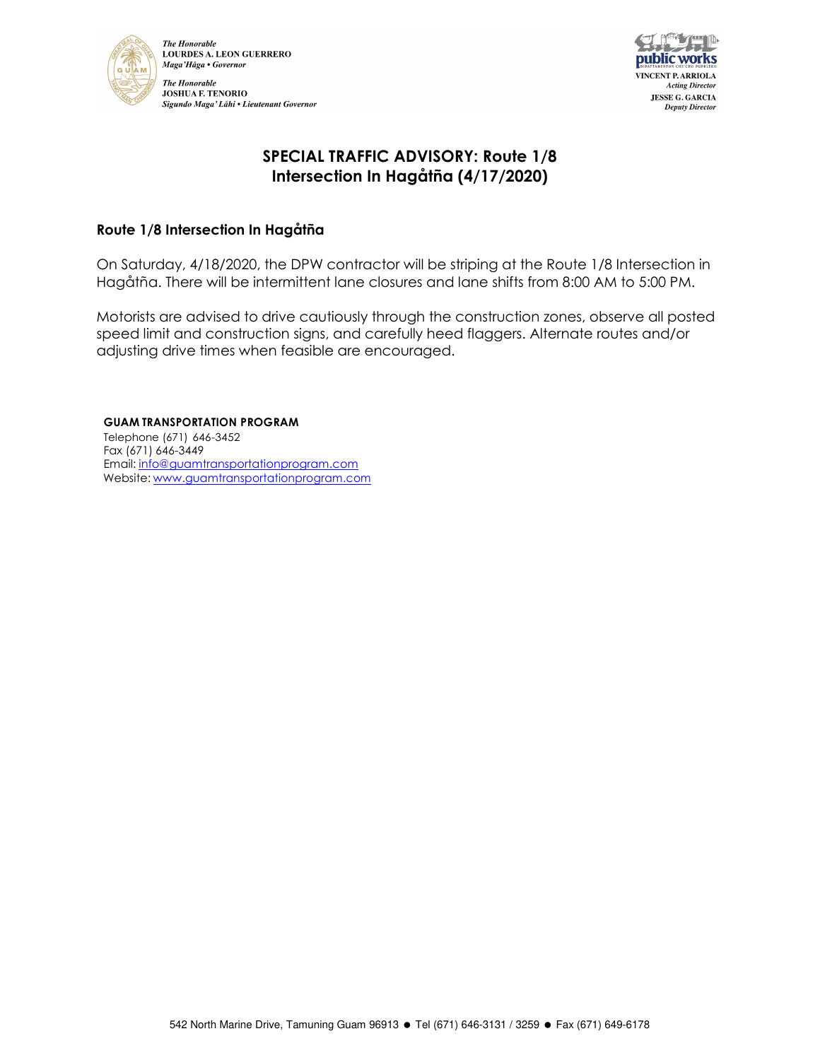



## **SPECIAL TRAFFIC ADVISORY: Route 1/8 Intersection In Hagåtña (4/17/2020)**

### **Route 1/8 Intersection In Hagåtña**

On Saturday, 4/18/2020, the DPW contractor will be striping at the Route 1/8 Intersection in Hagåtña. There will be intermittent lane closures and lane shifts from 8:00 AM to 5:00 PM.

Motorists are advised to drive cautiously through the construction zones, observe all posted speed limit and construction signs, and carefully heed flaggers. Alternate routes and/or adjusting drive times when feasible are encouraged.

**GUAM TRANSPORTATION PROGRAM** Telephone (671) 646-3452 Fax (671) 646-3449 Email: info@guamtransportationprogram.com Website: www.guamtransportationprogram.com